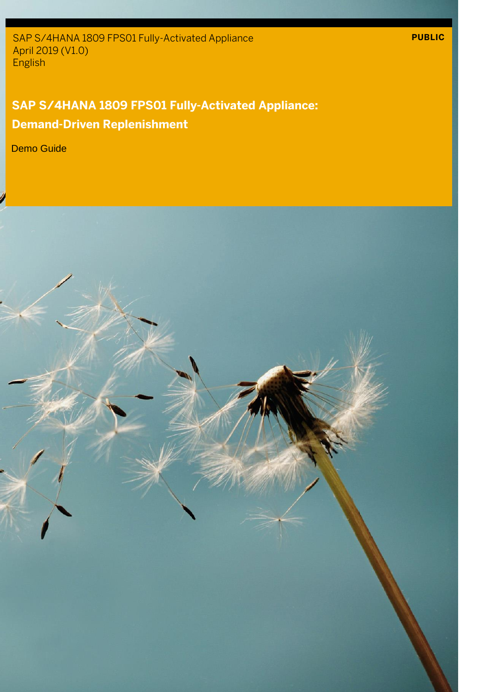SAP S/4HANA 1809 FPS01 Fully-Activated Appliance April 2019 (V1.0) English

## **SAP S/4HANA 1809 FPS01 Fully-Activated Appliance: Demand-Driven Replenishment**

**PUBLIC**

Demo Guide

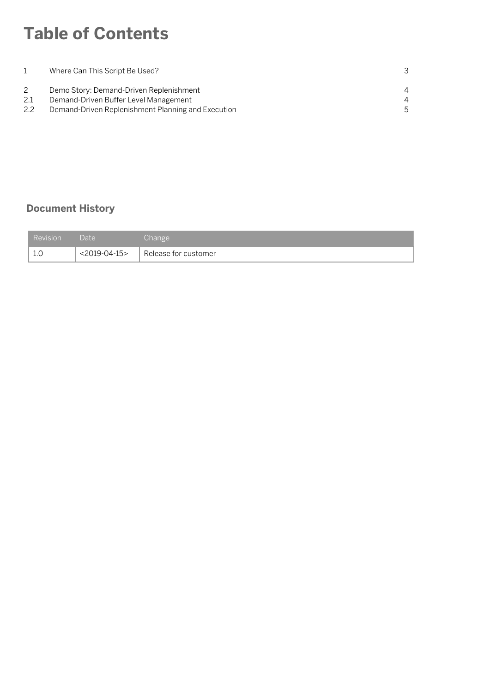## **Table of Contents**

|     | Where Can This Script Be Used?                     |                |
|-----|----------------------------------------------------|----------------|
|     | Demo Story: Demand-Driven Replenishment            | $\overline{4}$ |
| 2.1 | Demand-Driven Buffer Level Management              | $\overline{4}$ |
| 2.2 | Demand-Driven Replenishment Planning and Execution | .5             |

### **Document History**

| <b>Revision</b> | Date            | Change               |
|-----------------|-----------------|----------------------|
| - 1.C           | $<$ 2019-04-15> | Release for customer |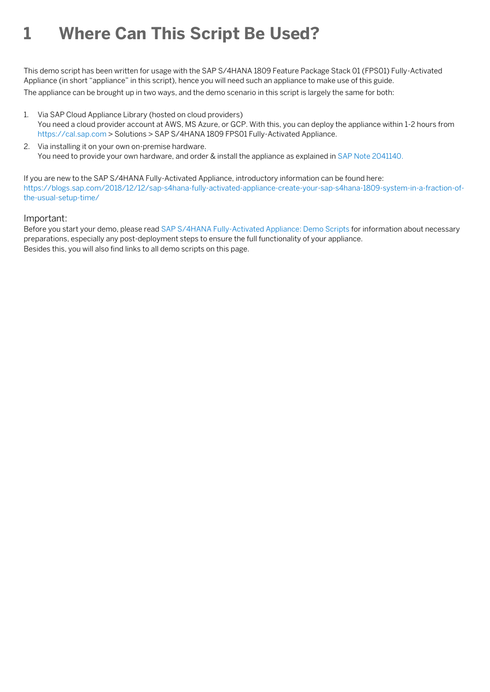## **1 Where Can This Script Be Used?**

This demo script has been written for usage with the SAP S/4HANA 1809 Feature Package Stack 01 (FPS01) Fully-Activated Appliance (in short "appliance" in this script), hence you will need such an appliance to make use of this guide.

The appliance can be brought up in two ways, and the demo scenario in this script is largely the same for both:

- 1. Via SAP Cloud Appliance Library (hosted on cloud providers) You need a cloud provider account at AWS, MS Azure, or GCP. With this, you can deploy the appliance within 1-2 hours from [https://cal.sap.com](https://cal.sap.com/) > Solutions > SAP S/4HANA 1809 FPS01 Fully-Activated Appliance.
- 2. Via installing it on your own on-premise hardware. You need to provide your own hardware, and order & install the appliance as explained i[n SAP Note 2041140.](http://service.sap.com/sap/support/notes/2041140)

If you are new to the SAP S/4HANA Fully-Activated Appliance, introductory information can be found here: [https://blogs.sap.com/2018/12/12/sap-s4hana-fully-activated-appliance-create-your-sap-s4hana-1809-system-in-a-fraction-of](https://blogs.sap.com/2018/12/12/sap-s4hana-fully-activated-appliance-create-your-sap-s4hana-1809-system-in-a-fraction-of-the-usual-setup-time/)[the-usual-setup-time/](https://blogs.sap.com/2018/12/12/sap-s4hana-fully-activated-appliance-create-your-sap-s4hana-1809-system-in-a-fraction-of-the-usual-setup-time/)

#### Important:

Before you start your demo, please read [SAP S/4HANA Fully-Activated Appliance: Demo Scripts](https://blogs.sap.com/?p=796653) for information about necessary preparations, especially any post-deployment steps to ensure the full functionality of your appliance. Besides this, you will also find links to all demo scripts on this page.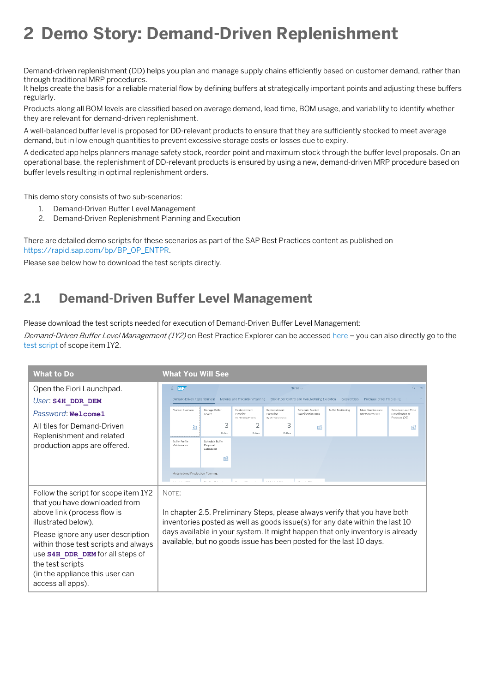# **2 Demo Story: Demand-Driven Replenishment**

Demand-driven replenishment (DD) helps you plan and manage supply chains efficiently based on customer demand, rather than through traditional MRP procedures.

It helps create the basis for a reliable material flow by defining buffers at strategically important points and adjusting these buffers regularly.

Products along all BOM levels are classified based on average demand, lead time, BOM usage, and variability to identify whether they are relevant for demand-driven replenishment.

A well-balanced buffer level is proposed for DD-relevant products to ensure that they are sufficiently stocked to meet average demand, but in low enough quantities to prevent excessive storage costs or losses due to expiry.

A dedicated app helps planners manage safety stock, reorder point and maximum stock through the buffer level proposals. On an operational base, the replenishment of DD-relevant products is ensured by using a new, demand-driven MRP procedure based on buffer levels resulting in optimal replenishment orders.

This demo story consists of two sub-scenarios:

- 1. Demand-Driven Buffer Level Management
- 2. Demand-Driven Replenishment Planning and Execution

There are detailed demo scripts for these scenarios as part of the SAP Best Practices content as published on [https://rapid.sap.com/bp/BP\\_OP\\_ENTPR.](https://rapid.sap.com/bp/BP_OP_ENTPR) 

Please see below how to download the test scripts directly.

### **2.1 Demand-Driven Buffer Level Management**

Please download the test scripts needed for execution of Demand-Driven Buffer Level Management:

Demand-Driven Buffer Level Management (1Y2) on Best Practice Explorer can be accesse[d here](https://rapid.sap.com/bp/#/browse/categories/sap_s%254hana/areas/cloud/packageversions/BP_OP_ENTPR/S4HANA/1809/US/5/EN/scopeitems/1Y2) - you can also directly go to the [test script](https://rapid.sap.com/bp/assetsdownload/?publishedUrl=https%3A%2F%2Fsupport.sap.com%2Fcontent%2Fdam%2FSAAP%2FSol_Pack%2FLibrary%2FTestScripts%2F1Y2_S4HANA1809_BPD_EN_US.docx) of scope item 1Y2.

| <b>What to Do</b>                                                                                              |                                                                                                                                                               | <b>What You Will See</b>             |                             |                                                   |                                                 |                                                |                    |                                      |                                                          |
|----------------------------------------------------------------------------------------------------------------|---------------------------------------------------------------------------------------------------------------------------------------------------------------|--------------------------------------|-----------------------------|---------------------------------------------------|-------------------------------------------------|------------------------------------------------|--------------------|--------------------------------------|----------------------------------------------------------|
| Open the Fiori Launchpad.                                                                                      |                                                                                                                                                               | <b>&amp;</b> SAP                     |                             |                                                   |                                                 | Home $\sim$                                    |                    |                                      | $Q = \Box$                                               |
| User: S4H DDR DEM                                                                                              |                                                                                                                                                               | Demand-Driven Replenishment          |                             | Material and Production Planning                  |                                                 | Shop Floor Control and Manufacturing Execution | Sales Orders       | Purchase Order Processing            |                                                          |
| Password: Welcome1                                                                                             |                                                                                                                                                               | Planner Overview                     | Manage Buffer<br>Levels     | Replenishment<br>Planning<br>By Planning Priority | Replenishment<br>Execution<br>By Ch-Hand Status | Schedule Product<br>Classification (DD)        | Buffer Positioning | Mass Maintenance<br>of Products (DD) | Schedule Lead Time<br>Classification of<br>Products (DD) |
| All tiles for Demand-Driven                                                                                    |                                                                                                                                                               | à.                                   | 3<br>Butters                | 2<br>Hutters                                      | 3<br>Hutters                                    | <b>DSS</b>                                     |                    |                                      | ßЯ                                                       |
| Replenishment and related<br>production apps are offered.                                                      |                                                                                                                                                               | <b>Buffer Profile</b><br>Maintenance | Schedule Buffer<br>Proposal |                                                   |                                                 |                                                |                    |                                      |                                                          |
|                                                                                                                |                                                                                                                                                               |                                      | Calculation<br>55           |                                                   |                                                 |                                                |                    |                                      |                                                          |
|                                                                                                                |                                                                                                                                                               | Material and Production Planning     |                             |                                                   |                                                 |                                                |                    |                                      |                                                          |
|                                                                                                                |                                                                                                                                                               |                                      |                             |                                                   | and the company                                 |                                                |                    |                                      |                                                          |
| Follow the script for scope item 1Y2<br>that you have downloaded from<br>above link (process flow is           | NOTE:<br>In chapter 2.5. Preliminary Steps, please always verify that you have both                                                                           |                                      |                             |                                                   |                                                 |                                                |                    |                                      |                                                          |
|                                                                                                                |                                                                                                                                                               |                                      |                             |                                                   |                                                 |                                                |                    |                                      |                                                          |
| Please ignore any user description<br>within those test scripts and always<br>use S4H DDR DEM for all steps of | available, but no goods issue has been posted for the last 10 days.                                                                                           |                                      |                             |                                                   |                                                 |                                                |                    |                                      |                                                          |
|                                                                                                                |                                                                                                                                                               |                                      |                             |                                                   |                                                 |                                                |                    |                                      |                                                          |
| access all apps).                                                                                              |                                                                                                                                                               |                                      |                             |                                                   |                                                 |                                                |                    |                                      |                                                          |
| illustrated below).<br>the test scripts<br>(in the appliance this user can                                     | inventories posted as well as goods issue(s) for any date within the last 10<br>days available in your system. It might happen that only inventory is already |                                      |                             |                                                   |                                                 |                                                |                    |                                      |                                                          |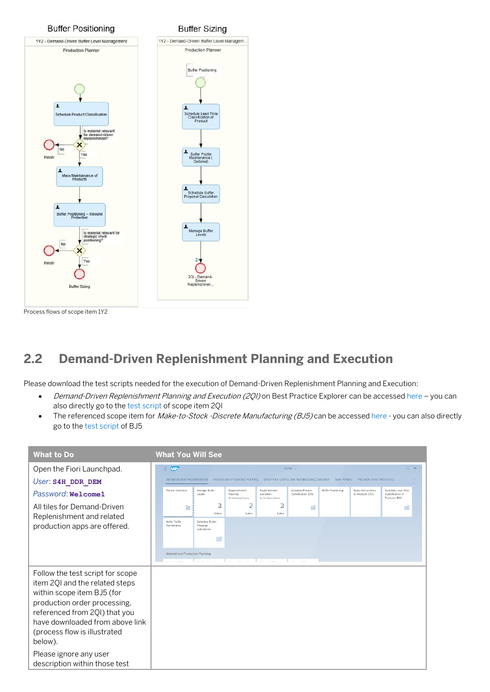

### **2.2 Demand-Driven Replenishment Planning and Execution**

Please download the test scripts needed for the execution of Demand-Driven Replenishment Planning and Execution:

- Demand-Driven Replenishment Planning and Execution (201) on Best Practice Explorer can be accesse[d here](https://rapid.sap.com/bp/#/browse/categories/sap_s%254hana/areas/cloud/packageversions/BP_OP_ENTPR/S4HANA/1809/US/5/EN/scopeitems/2QI) you can also directly go to the [test script](https://rapid.sap.com/bp/assetsdownload/?publishedUrl=https%3A%2F%2Fsupport.sap.com%2Fcontent%2Fdam%2FSAAP%2FSol_Pack%2FLibrary%2FTestScripts%2F2QI_S4HANA1809_BPD_EN_US.docx) of scope item 2QI
- The referenced scope item for Make-to-Stock -Discrete Manufacturing (BJ5) can be accesse[d here](https://rapid.sap.com/bp/#/browse/categories/sap_s%254hana/areas/cloud/packageversions/BP_OP_ENTPR/S4HANA/1809/US/5/EN/scopeitems/BJ5) you can also directly go to th[e test script](https://rapid.sap.com/bp/assetsdownload/?publishedUrl=https%3A%2F%2Fsupport.sap.com%2Fcontent%2Fdam%2FSAAP%2FSol_Pack%2FLibrary%2FTestScripts%2FBJ5_S4HANA1809_BPD_EN_US.docx) of BJ5

| <b>What to Do</b>                                                                                                                                                                                                                               | <b>What You Will See</b>                                                                                                                                                                                                                                      |                                                          |
|-------------------------------------------------------------------------------------------------------------------------------------------------------------------------------------------------------------------------------------------------|---------------------------------------------------------------------------------------------------------------------------------------------------------------------------------------------------------------------------------------------------------------|----------------------------------------------------------|
| Open the Fiori Launchpad.<br>User: S4H DDR DEM                                                                                                                                                                                                  | $8 - 54P$<br>Home $\sim$<br>Demand-Driven Replenishment<br>Material and Production Planning Shop Floor Control and Manufacturing Execution Sales Orders Purchase Order Processing                                                                             | $Q$ $\equiv$                                             |
| Password: Welcome1                                                                                                                                                                                                                              | Planner Overview<br>Manage Buffer<br>Replenishment<br>Replenishment<br>Schedule Product<br>Buffer Positioning<br>Mass Maintenance<br>Levels<br>Planning<br>Execution<br>Classification (DD)<br>of Products (DD)<br>By Cin-Hand Status<br>By Planning Priority | Schedule Lead Time<br>Classification of<br>Products (DD) |
| All tiles for Demand-Driven<br>Replenishment and related<br>production apps are offered.                                                                                                                                                        | 3<br>2<br>3<br>à.<br><b>DS</b><br>Hotters<br><b>Hutters</b><br>Hutters<br><b>Buller Profile</b><br><b>Schedule Buffer</b><br>Proposal<br>Maintenance<br>Calculation                                                                                           | R.                                                       |
|                                                                                                                                                                                                                                                 | БЯ<br>Material and Production Planning                                                                                                                                                                                                                        |                                                          |
| Follow the test script for scope<br>item 2QI and the related steps<br>within scope item BJ5 (for<br>production order processing,<br>referenced from 2QI) that you<br>have downloaded from above link<br>(process flow is illustrated<br>below). |                                                                                                                                                                                                                                                               |                                                          |
| Please ignore any user<br>description within those test                                                                                                                                                                                         |                                                                                                                                                                                                                                                               |                                                          |